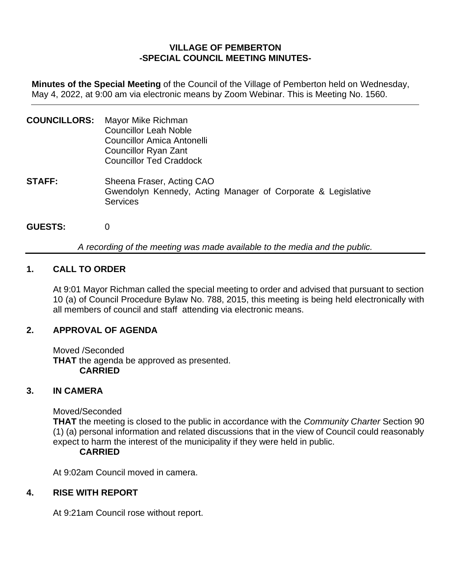# **VILLAGE OF PEMBERTON -SPECIAL COUNCIL MEETING MINUTES-**

**Minutes of the Special Meeting** of the Council of the Village of Pemberton held on Wednesday, May 4, 2022, at 9:00 am via electronic means by Zoom Webinar. This is Meeting No. 1560.

- **COUNCILLORS:** Mayor Mike Richman Councillor Leah Noble Councillor Amica Antonelli Councillor Ryan Zant Councillor Ted Craddock **STAFF:** Sheena Fraser, Acting CAO Gwendolyn Kennedy, Acting Manager of Corporate & Legislative **Services**
- **GUESTS:** 0

*A recording of the meeting was made available to the media and the public.*

## **1. CALL TO ORDER**

At 9:01 Mayor Richman called the special meeting to order and advised that pursuant to section 10 (a) of Council Procedure Bylaw No. 788, 2015, this meeting is being held electronically with all members of council and staff attending via electronic means.

## **2. APPROVAL OF AGENDA**

Moved /Seconded **THAT** the agenda be approved as presented. **CARRIED**

#### **3. IN CAMERA**

Moved/Seconded

**THAT** the meeting is closed to the public in accordance with the *Community Charter* Section 90 (1) (a) personal information and related discussions that in the view of Council could reasonably expect to harm the interest of the municipality if they were held in public.

## **CARRIED**

At 9:02am Council moved in camera.

## **4. RISE WITH REPORT**

At 9:21am Council rose without report.